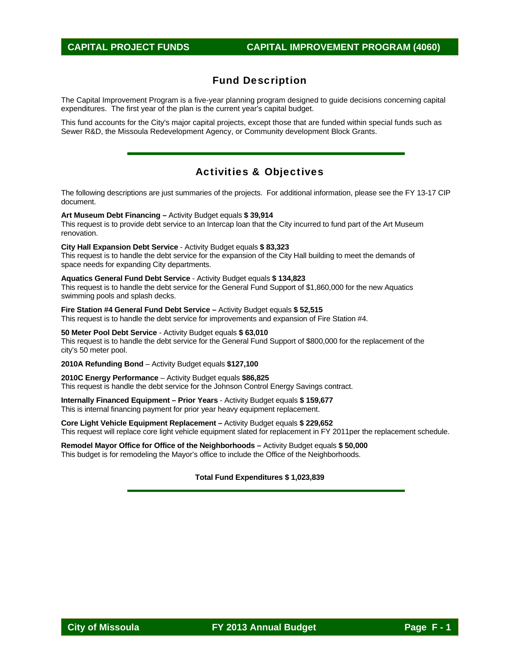### Fund Description

The Capital Improvement Program is a five-year planning program designed to guide decisions concerning capital expenditures. The first year of the plan is the current year's capital budget.

This fund accounts for the City's major capital projects, except those that are funded within special funds such as Sewer R&D, the Missoula Redevelopment Agency, or Community development Block Grants.

### Activities & Objectives

The following descriptions are just summaries of the projects. For additional information, please see the FY 13-17 CIP document.

**Art Museum Debt Financing –** Activity Budget equals **\$ 39,914** 

This request is to provide debt service to an Intercap loan that the City incurred to fund part of the Art Museum renovation.

**City Hall Expansion Debt Service** - Activity Budget equals **\$ 83,323** This request is to handle the debt service for the expansion of the City Hall building to meet the demands of space needs for expanding City departments.

#### **Aquatics General Fund Debt Service** - Activity Budget equals **\$ 134,823**

This request is to handle the debt service for the General Fund Support of \$1,860,000 for the new Aquatics swimming pools and splash decks.

**Fire Station #4 General Fund Debt Service –** Activity Budget equals **\$ 52,515**  This request is to handle the debt service for improvements and expansion of Fire Station #4.

**50 Meter Pool Debt Service** - Activity Budget equals **\$ 63,010** This request is to handle the debt service for the General Fund Support of \$800,000 for the replacement of the city's 50 meter pool.

**2010A Refunding Bond** – Activity Budget equals **\$127,100** 

#### **2010C Energy Performance** – Activity Budget equals **\$86,825**

This request is handle the debt service for the Johnson Control Energy Savings contract.

**Internally Financed Equipment – Prior Years** - Activity Budget equals **\$ 159,677**  This is internal financing payment for prior year heavy equipment replacement.

**Core Light Vehicle Equipment Replacement –** Activity Budget equals **\$ 229,652**  This request will replace core light vehicle equipment slated for replacement in FY 2011per the replacement schedule.

**Remodel Mayor Office for Office of the Neighborhoods –** Activity Budget equals **\$ 50,000**  This budget is for remodeling the Mayor's office to include the Office of the Neighborhoods.

#### **Total Fund Expenditures \$ 1,023,839**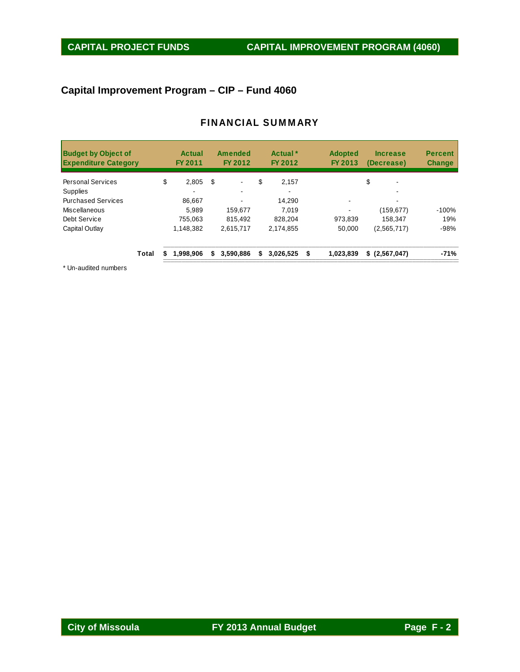# **Capital Improvement Program – CIP – Fund 4060**

#### FINANCIAL SUMMARY

| <b>Budget by Object of</b><br><b>Expenditure Category</b> |       |    | Actual<br><b>FY 2011</b> |    | <b>Amended</b><br>FY 2012 | Actual <sup>*</sup><br>FY 2012 | <b>Adopted</b><br>FY 2013 | <b>Increase</b><br>(Decrease) | <b>Percent</b><br><b>Change</b> |
|-----------------------------------------------------------|-------|----|--------------------------|----|---------------------------|--------------------------------|---------------------------|-------------------------------|---------------------------------|
| <b>Personal Services</b>                                  |       | \$ | 2,805                    | \$ |                           | \$<br>2,157                    |                           | \$                            |                                 |
| <b>Supplies</b>                                           |       |    |                          |    |                           |                                |                           |                               |                                 |
| <b>Purchased Services</b>                                 |       |    | 86.667                   |    |                           | 14.290                         |                           |                               |                                 |
| Miscellaneous                                             |       |    | 5.989                    |    | 159.677                   | 7.019                          |                           | (159, 677)                    | $-100%$                         |
| Debt Service                                              |       |    | 755.063                  |    | 815.492                   | 828.204                        | 973,839                   | 158.347                       | 19%                             |
| Capital Outlay                                            |       |    | 1,148,382                |    | 2,615,717                 | 2,174,855                      | 50,000                    | (2,565,717)                   | $-98%$                          |
|                                                           | Total | S  | 1,998,906                | S. | 3,590,886                 | \$<br>$3.026.525$ \$           | 1,023,839                 | \$(2, 567, 047)               | $-71%$                          |

\* Un-audited numbers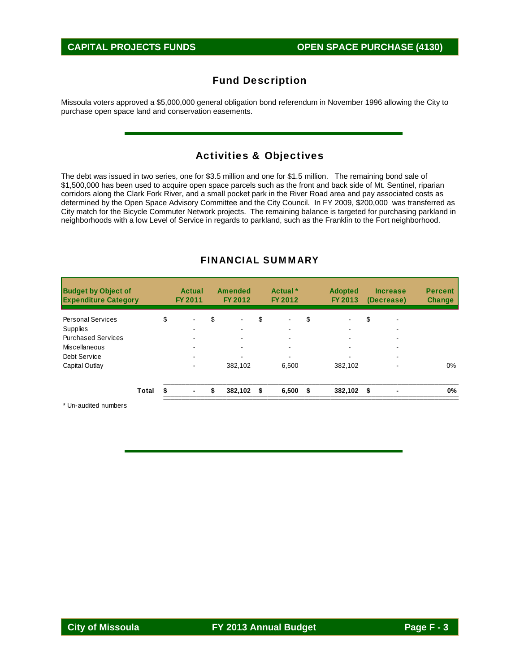### Fund Description

Missoula voters approved a \$5,000,000 general obligation bond referendum in November 1996 allowing the City to purchase open space land and conservation easements.

#### Activities & Objectives

The debt was issued in two series, one for \$3.5 million and one for \$1.5 million. The remaining bond sale of \$1,500,000 has been used to acquire open space parcels such as the front and back side of Mt. Sentinel, riparian corridors along the Clark Fork River, and a small pocket park in the River Road area and pay associated costs as determined by the Open Space Advisory Committee and the City Council. In FY 2009, \$200,000 was transferred as City match for the Bicycle Commuter Network projects. The remaining balance is targeted for purchasing parkland in neighborhoods with a low Level of Service in regards to parkland, such as the Franklin to the Fort neighborhood.

| <b>Budget by Object of</b><br><b>Expenditure Category</b> |       | Actual<br><b>FY 2011</b> | <b>Amended</b><br>FY 2012 | Actual <sup>*</sup><br>FY 2012 | <b>Adopted</b><br>FY 2013 |      | <b>Increase</b><br>(Decrease) | <b>Percent</b><br><b>Change</b> |
|-----------------------------------------------------------|-------|--------------------------|---------------------------|--------------------------------|---------------------------|------|-------------------------------|---------------------------------|
| <b>Personal Services</b>                                  |       | \$<br>٠                  | \$<br>$\blacksquare$      | \$<br>$\blacksquare$           | \$                        | \$   | $\overline{\phantom{a}}$      |                                 |
| <b>Supplies</b>                                           |       |                          |                           |                                |                           |      |                               |                                 |
| <b>Purchased Services</b>                                 |       | ۰.                       |                           | ۰                              |                           |      | $\overline{\phantom{a}}$      |                                 |
| Miscellaneous                                             |       |                          | -                         |                                |                           |      | -                             |                                 |
| Debt Service                                              |       |                          |                           | -                              |                           |      |                               |                                 |
| Capital Outlay                                            |       |                          | 382,102                   | 6,500                          | 382,102                   |      |                               | $0\%$                           |
|                                                           | Total | \$<br>$\blacksquare$     | \$<br>382.102             | \$<br>6,500                    | \$<br>382.102             | - \$ | $\blacksquare$                | 0%                              |

#### FINANCIAL SUMMARY

\* Un-audited numbers